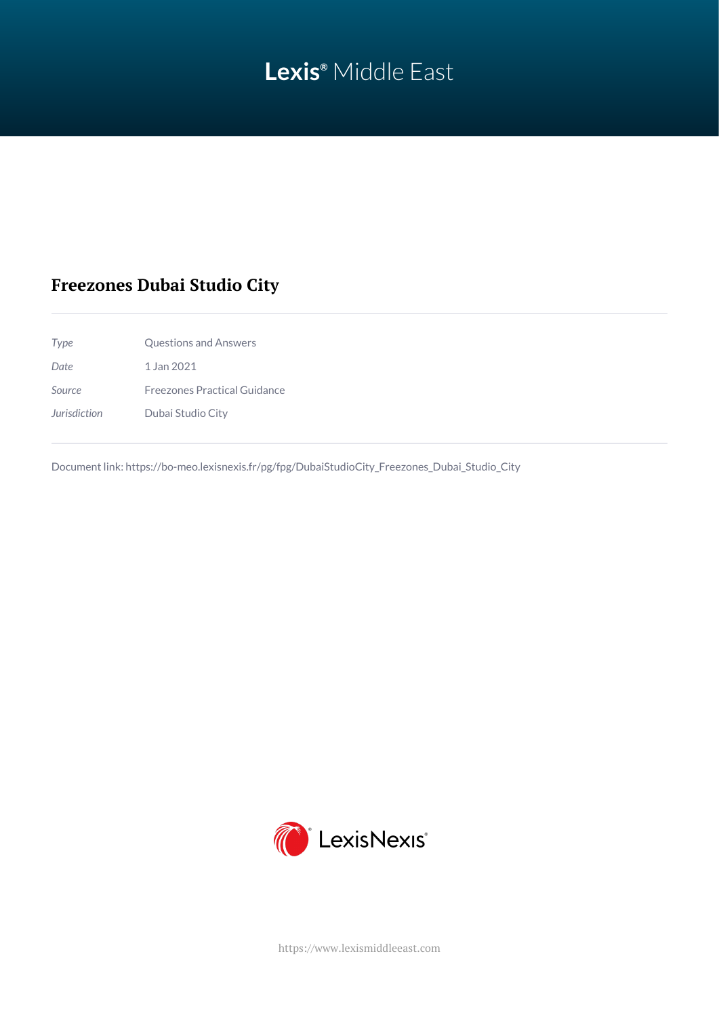# **Lexis®** Middle East

# **Freezones Dubai Studio City**

| Type         | Questions and Answers               |
|--------------|-------------------------------------|
| Date         | 1 Jan 2021                          |
| Source       | <b>Freezones Practical Guidance</b> |
| Jurisdiction | Dubai Studio City                   |

Document link: [https://bo-meo.lexisnexis.fr/pg/fpg/DubaiStudioCity\\_Freezones\\_Dubai\\_Studio\\_City](https://bo-meo.lexisnexis.fr/pg/fpg/DubaiStudioCity_Freezones_Dubai_Studio_City)



<https://www.lexismiddleeast.com>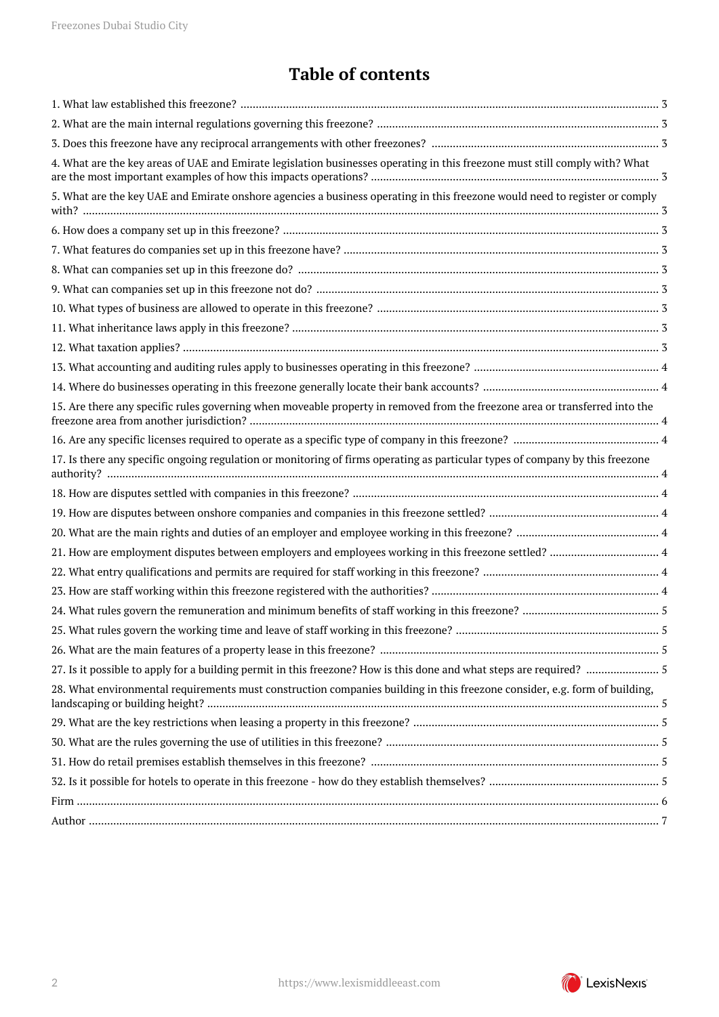# **Table of contents**

| 4. What are the key areas of UAE and Emirate legislation businesses operating in this freezone must still comply with? What   |  |
|-------------------------------------------------------------------------------------------------------------------------------|--|
| 5. What are the key UAE and Emirate onshore agencies a business operating in this freezone would need to register or comply   |  |
|                                                                                                                               |  |
|                                                                                                                               |  |
|                                                                                                                               |  |
|                                                                                                                               |  |
|                                                                                                                               |  |
|                                                                                                                               |  |
|                                                                                                                               |  |
|                                                                                                                               |  |
|                                                                                                                               |  |
| 15. Are there any specific rules governing when moveable property in removed from the freezone area or transferred into the   |  |
|                                                                                                                               |  |
| 17. Is there any specific ongoing regulation or monitoring of firms operating as particular types of company by this freezone |  |
|                                                                                                                               |  |
|                                                                                                                               |  |
|                                                                                                                               |  |
|                                                                                                                               |  |
|                                                                                                                               |  |
|                                                                                                                               |  |
|                                                                                                                               |  |
|                                                                                                                               |  |
|                                                                                                                               |  |
|                                                                                                                               |  |
| 28. What environmental requirements must construction companies building in this freezone consider, e.g. form of building,    |  |
|                                                                                                                               |  |
|                                                                                                                               |  |
|                                                                                                                               |  |
|                                                                                                                               |  |
|                                                                                                                               |  |
|                                                                                                                               |  |

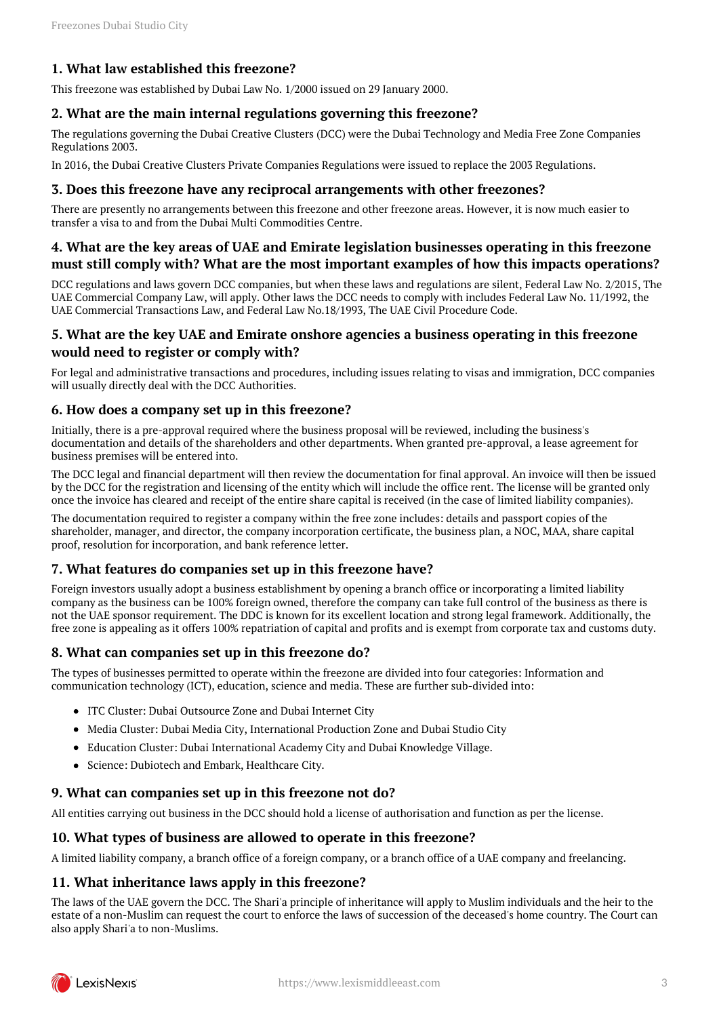# <span id="page-2-0"></span>**1. What law established this freezone?**

This freezone was established by Dubai Law No. 1/2000 issued on 29 January 2000.

#### <span id="page-2-1"></span>**2. What are the main internal regulations governing this freezone?**

The regulations governing the Dubai Creative Clusters (DCC) were the Dubai Technology and Media Free Zone Companies Regulations 2003.

In 2016, the Dubai Creative Clusters Private Companies Regulations were issued to replace the 2003 Regulations.

#### <span id="page-2-2"></span>**3. Does this freezone have any reciprocal arrangements with other freezones?**

There are presently no arrangements between this freezone and other freezone areas. However, it is now much easier to transfer a visa to and from the Dubai Multi Commodities Centre.

#### <span id="page-2-3"></span>**4. What are the key areas of UAE and Emirate legislation businesses operating in this freezone must still comply with? What are the most important examples of how this impacts operations?**

DCC regulations and laws govern DCC companies, but when these laws and regulations are silent, Federal Law No. 2/2015, The UAE Commercial Company Law, will apply. Other laws the DCC needs to comply with includes Federal Law No. 11/1992, the UAE Commercial Transactions Law, and Federal Law No.18/1993, The UAE Civil Procedure Code.

#### <span id="page-2-4"></span>**5. What are the key UAE and Emirate onshore agencies a business operating in this freezone would need to register or comply with?**

For legal and administrative transactions and procedures, including issues relating to visas and immigration, DCC companies will usually directly deal with the DCC Authorities.

#### <span id="page-2-5"></span>**6. How does a company set up in this freezone?**

Initially, there is a pre-approval required where the business proposal will be reviewed, including the business's documentation and details of the shareholders and other departments. When granted pre-approval, a lease agreement for business premises will be entered into.

The DCC legal and financial department will then review the documentation for final approval. An invoice will then be issued by the DCC for the registration and licensing of the entity which will include the office rent. The license will be granted only once the invoice has cleared and receipt of the entire share capital is received (in the case of limited liability companies).

The documentation required to register a company within the free zone includes: details and passport copies of the shareholder, manager, and director, the company incorporation certificate, the business plan, a NOC, MAA, share capital proof, resolution for incorporation, and bank reference letter.

#### <span id="page-2-6"></span>**7. What features do companies set up in this freezone have?**

Foreign investors usually adopt a business establishment by opening a branch office or incorporating a limited liability company as the business can be 100% foreign owned, therefore the company can take full control of the business as there is not the UAE sponsor requirement. The DDC is known for its excellent location and strong legal framework. Additionally, the free zone is appealing as it offers 100% repatriation of capital and profits and is exempt from corporate tax and customs duty.

#### <span id="page-2-7"></span>**8. What can companies set up in this freezone do?**

The types of businesses permitted to operate within the freezone are divided into four categories: Information and communication technology (ICT), education, science and media. These are further sub-divided into:

- ITC Cluster: Dubai Outsource Zone and Dubai Internet City
- Media Cluster: Dubai Media City, International Production Zone and Dubai Studio City
- Education Cluster: Dubai International Academy City and Dubai Knowledge Village.
- Science: Dubiotech and Embark, Healthcare City.

#### <span id="page-2-8"></span>**9. What can companies set up in this freezone not do?**

All entities carrying out business in the DCC should hold a license of authorisation and function as per the license.

#### <span id="page-2-9"></span>**10. What types of business are allowed to operate in this freezone?**

A limited liability company, a branch office of a foreign company, or a branch office of a UAE company and freelancing.

#### <span id="page-2-10"></span>**11. What inheritance laws apply in this freezone?**

The laws of the UAE govern the DCC. The Shari'a principle of inheritance will apply to Muslim individuals and the heir to the estate of a non-Muslim can request the court to enforce the laws of succession of the deceased's home country. The Court can also apply Shari'a to non-Muslims.

<span id="page-2-11"></span>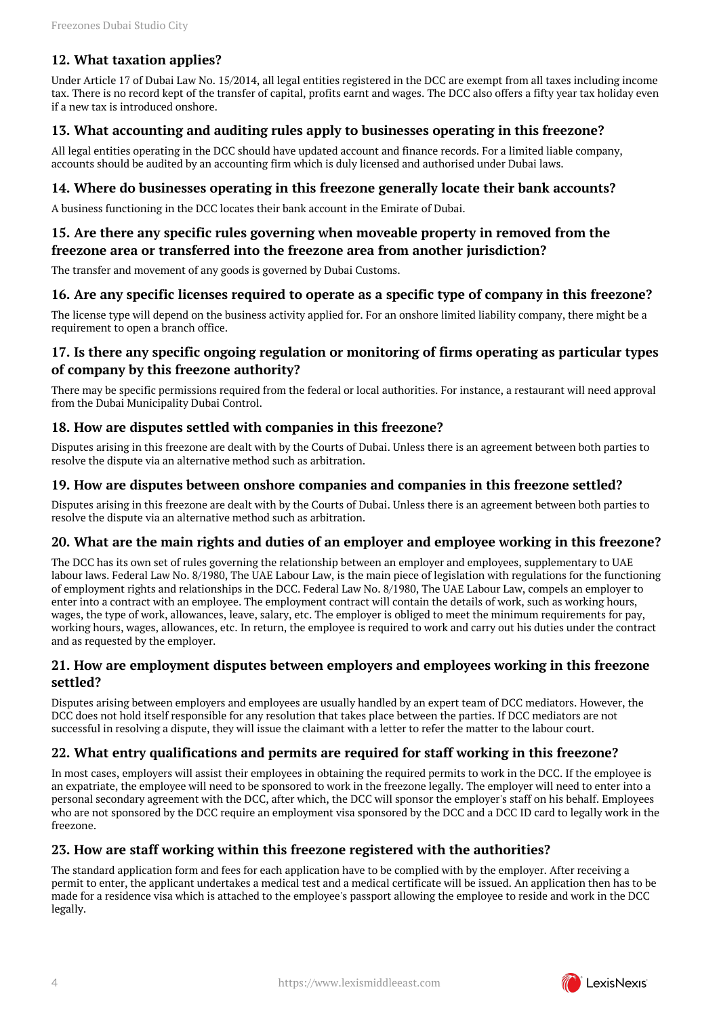# **12. What taxation applies?**

Under Article 17 of Dubai Law No. 15/2014, all legal entities registered in the DCC are exempt from all taxes including income tax. There is no record kept of the transfer of capital, profits earnt and wages. The DCC also offers a fifty year tax holiday even if a new tax is introduced onshore.

#### <span id="page-3-0"></span>**13. What accounting and auditing rules apply to businesses operating in this freezone?**

All legal entities operating in the DCC should have updated account and finance records. For a limited liable company, accounts should be audited by an accounting firm which is duly licensed and authorised under Dubai laws.

#### <span id="page-3-1"></span>**14. Where do businesses operating in this freezone generally locate their bank accounts?**

A business functioning in the DCC locates their bank account in the Emirate of Dubai.

#### <span id="page-3-2"></span>**15. Are there any specific rules governing when moveable property in removed from the freezone area or transferred into the freezone area from another jurisdiction?**

The transfer and movement of any goods is governed by Dubai Customs.

#### <span id="page-3-3"></span>**16. Are any specific licenses required to operate as a specific type of company in this freezone?**

The license type will depend on the business activity applied for. For an onshore limited liability company, there might be a requirement to open a branch office.

# <span id="page-3-4"></span>**17. Is there any specific ongoing regulation or monitoring of firms operating as particular types of company by this freezone authority?**

There may be specific permissions required from the federal or local authorities. For instance, a restaurant will need approval from the Dubai Municipality Dubai Control.

#### <span id="page-3-5"></span>**18. How are disputes settled with companies in this freezone?**

Disputes arising in this freezone are dealt with by the Courts of Dubai. Unless there is an agreement between both parties to resolve the dispute via an alternative method such as arbitration.

#### <span id="page-3-6"></span>**19. How are disputes between onshore companies and companies in this freezone settled?**

Disputes arising in this freezone are dealt with by the Courts of Dubai. Unless there is an agreement between both parties to resolve the dispute via an alternative method such as arbitration.

#### <span id="page-3-7"></span>**20. What are the main rights and duties of an employer and employee working in this freezone?**

The DCC has its own set of rules governing the relationship between an employer and employees, supplementary to UAE labour laws. Federal Law No. 8/1980, The UAE Labour Law, is the main piece of legislation with regulations for the functioning of employment rights and relationships in the DCC. Federal Law No. 8/1980, The UAE Labour Law, compels an employer to enter into a contract with an employee. The employment contract will contain the details of work, such as working hours, wages, the type of work, allowances, leave, salary, etc. The employer is obliged to meet the minimum requirements for pay, working hours, wages, allowances, etc. In return, the employee is required to work and carry out his duties under the contract and as requested by the employer.

#### <span id="page-3-8"></span>**21. How are employment disputes between employers and employees working in this freezone settled?**

Disputes arising between employers and employees are usually handled by an expert team of DCC mediators. However, the DCC does not hold itself responsible for any resolution that takes place between the parties. If DCC mediators are not successful in resolving a dispute, they will issue the claimant with a letter to refer the matter to the labour court.

# <span id="page-3-9"></span>**22. What entry qualifications and permits are required for staff working in this freezone?**

In most cases, employers will assist their employees in obtaining the required permits to work in the DCC. If the employee is an expatriate, the employee will need to be sponsored to work in the freezone legally. The employer will need to enter into a personal secondary agreement with the DCC, after which, the DCC will sponsor the employer's staff on his behalf. Employees who are not sponsored by the DCC require an employment visa sponsored by the DCC and a DCC ID card to legally work in the freezone.

# <span id="page-3-10"></span>**23. How are staff working within this freezone registered with the authorities?**

The standard application form and fees for each application have to be complied with by the employer. After receiving a permit to enter, the applicant undertakes a medical test and a medical certificate will be issued. An application then has to be made for a residence visa which is attached to the employee's passport allowing the employee to reside and work in the DCC legally.

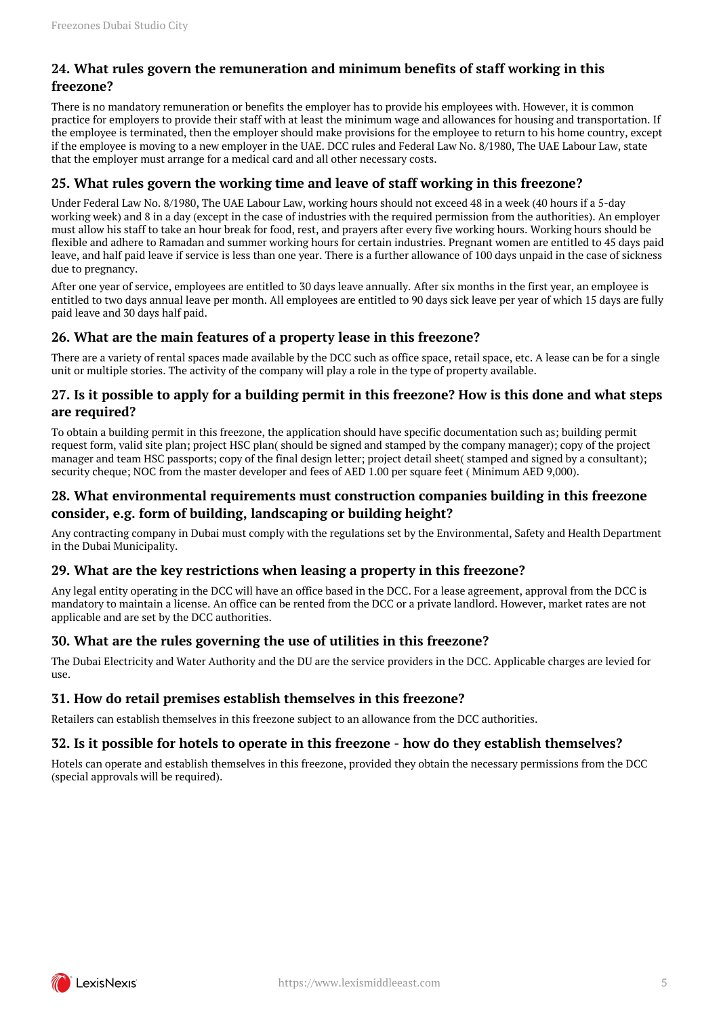# <span id="page-4-0"></span>**24. What rules govern the remuneration and minimum benefits of staff working in this freezone?**

There is no mandatory remuneration or benefits the employer has to provide his employees with. However, it is common practice for employers to provide their staff with at least the minimum wage and allowances for housing and transportation. If the employee is terminated, then the employer should make provisions for the employee to return to his home country, except if the employee is moving to a new employer in the UAE. DCC rules and Federal Law No. 8/1980, The UAE Labour Law, state that the employer must arrange for a medical card and all other necessary costs.

# <span id="page-4-1"></span>**25. What rules govern the working time and leave of staff working in this freezone?**

Under Federal Law No. 8/1980, The UAE Labour Law, working hours should not exceed 48 in a week (40 hours if a 5-day working week) and 8 in a day (except in the case of industries with the required permission from the authorities). An employer must allow his staff to take an hour break for food, rest, and prayers after every five working hours. Working hours should be flexible and adhere to Ramadan and summer working hours for certain industries. Pregnant women are entitled to 45 days paid leave, and half paid leave if service is less than one year. There is a further allowance of 100 days unpaid in the case of sickness due to pregnancy.

After one year of service, employees are entitled to 30 days leave annually. After six months in the first year, an employee is entitled to two days annual leave per month. All employees are entitled to 90 days sick leave per year of which 15 days are fully paid leave and 30 days half paid.

# <span id="page-4-2"></span>**26. What are the main features of a property lease in this freezone?**

There are a variety of rental spaces made available by the DCC such as office space, retail space, etc. A lease can be for a single unit or multiple stories. The activity of the company will play a role in the type of property available.

# <span id="page-4-3"></span>**27. Is it possible to apply for a building permit in this freezone? How is this done and what steps are required?**

To obtain a building permit in this freezone, the application should have specific documentation such as; building permit request form, valid site plan; project HSC plan( should be signed and stamped by the company manager); copy of the project manager and team HSC passports; copy of the final design letter; project detail sheet( stamped and signed by a consultant); security cheque; NOC from the master developer and fees of AED 1.00 per square feet ( Minimum AED 9,000).

# <span id="page-4-4"></span>**28. What environmental requirements must construction companies building in this freezone consider, e.g. form of building, landscaping or building height?**

Any contracting company in Dubai must comply with the regulations set by the Environmental, Safety and Health Department in the Dubai Municipality.

# <span id="page-4-5"></span>**29. What are the key restrictions when leasing a property in this freezone?**

Any legal entity operating in the DCC will have an office based in the DCC. For a lease agreement, approval from the DCC is mandatory to maintain a license. An office can be rented from the DCC or a private landlord. However, market rates are not applicable and are set by the DCC authorities.

# <span id="page-4-6"></span>**30. What are the rules governing the use of utilities in this freezone?**

The Dubai Electricity and Water Authority and the DU are the service providers in the DCC. Applicable charges are levied for  $11S<sub>P</sub>$ 

# <span id="page-4-7"></span>**31. How do retail premises establish themselves in this freezone?**

Retailers can establish themselves in this freezone subject to an allowance from the DCC authorities.

# <span id="page-4-8"></span>**32. Is it possible for hotels to operate in this freezone - how do they establish themselves?**

Hotels can operate and establish themselves in this freezone, provided they obtain the necessary permissions from the DCC (special approvals will be required).

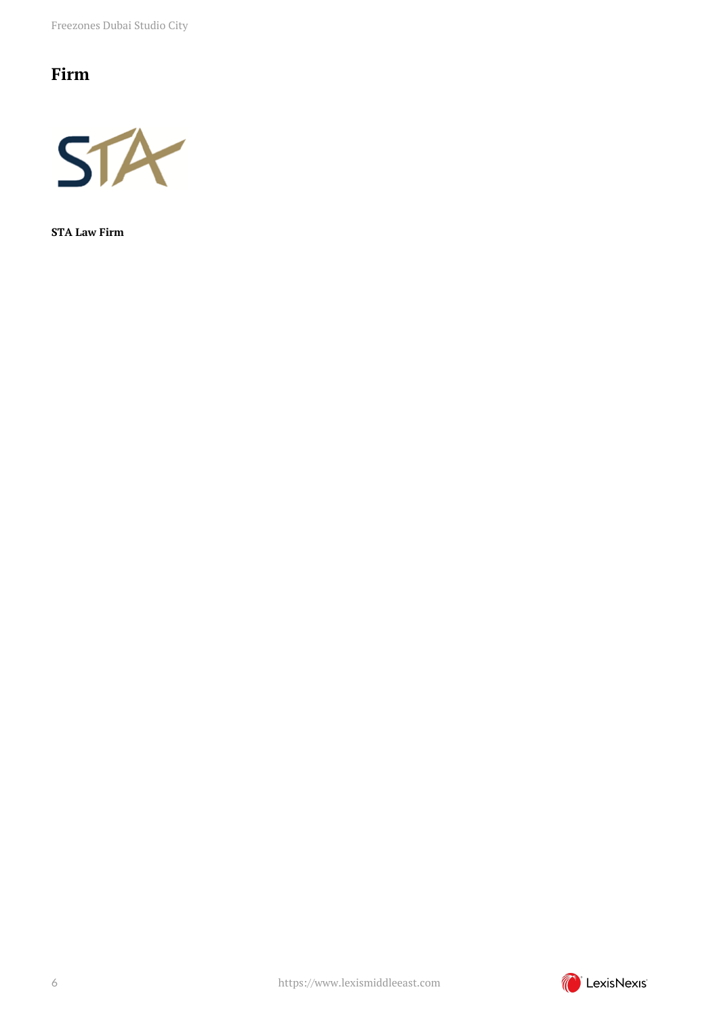Freezones Dubai Studio City

# <span id="page-5-0"></span>**Firm**



**STA Law Firm**